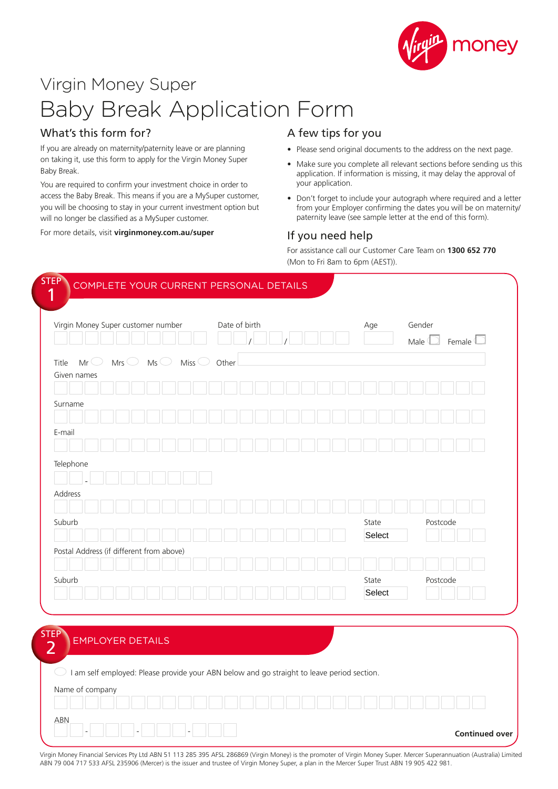

# Virgin Money Super Baby Break Application Form

## What's this form for?

If you are already on maternity/paternity leave or are planning on taking it, use this form to apply for the Virgin Money Super Baby Break.

You are required to confirm your investment choice in order to access the Baby Break. This means if you are a MySuper customer, you will be choosing to stay in your current investment option but will no longer be classified as a MySuper customer.

For more details, visit **virginmoney.com.au/super**

### A few tips for you

- Please send original documents to the address on the next page.
- Make sure you complete all relevant sections before sending us this application. If information is missing, it may delay the approval of your application.
- Don't forget to include your autograph where required and a letter from your Employer confirming the dates you will be on maternity/ paternity leave (see sample letter at the end of this form).

### If you need help

For assistance call our Customer Care Team on **1300 652 770** (Mon to Fri 8am to 6pm (AEST)).

| Virgin Money Super customer number       |     |  |    |  |                 | Date of birth |  |  |  |  |       |  | Age   |        |          | Gender<br>Male |  |          | Female <sup>(</sup> |  |
|------------------------------------------|-----|--|----|--|-----------------|---------------|--|--|--|--|-------|--|-------|--------|----------|----------------|--|----------|---------------------|--|
| Title<br>Mr $\cup$<br>Given names        | Mrs |  | Ms |  | Miss $\bigcirc$ | Other         |  |  |  |  |       |  |       |        |          |                |  |          |                     |  |
|                                          |     |  |    |  |                 |               |  |  |  |  |       |  |       |        |          |                |  |          |                     |  |
| Surname                                  |     |  |    |  |                 |               |  |  |  |  |       |  |       |        |          |                |  |          |                     |  |
|                                          |     |  |    |  |                 |               |  |  |  |  |       |  |       |        |          |                |  |          |                     |  |
| E-mail                                   |     |  |    |  |                 |               |  |  |  |  |       |  |       |        |          |                |  |          |                     |  |
| Telephone                                |     |  |    |  |                 |               |  |  |  |  |       |  |       |        |          |                |  |          |                     |  |
|                                          |     |  |    |  |                 |               |  |  |  |  |       |  |       |        |          |                |  |          |                     |  |
| Address                                  |     |  |    |  |                 |               |  |  |  |  |       |  |       |        |          |                |  |          |                     |  |
|                                          |     |  |    |  |                 |               |  |  |  |  |       |  |       |        |          |                |  |          |                     |  |
| Suburb                                   |     |  |    |  |                 |               |  |  |  |  |       |  | State | Select |          |                |  | Postcode |                     |  |
| Postal Address (if different from above) |     |  |    |  |                 |               |  |  |  |  |       |  |       |        |          |                |  |          |                     |  |
|                                          |     |  |    |  |                 |               |  |  |  |  |       |  |       |        |          |                |  |          |                     |  |
| Suburb                                   |     |  |    |  |                 |               |  |  |  |  | State |  |       |        | Postcode |                |  |          |                     |  |
|                                          |     |  |    |  |                 |               |  |  |  |  |       |  |       | Select |          |                |  |          |                     |  |

 $\bigcirc$  I am self employed: Please provide your ABN below and go straight to leave period section.

| Name of company                                                    |        |                       |
|--------------------------------------------------------------------|--------|-----------------------|
| <b>ABN</b><br>$\overline{\phantom{a}}$<br>$\overline{\phantom{a}}$ | $\sim$ | <b>Continued over</b> |

Virgin Money Financial Services Pty Ltd ABN 51 113 285 395 AFSL 286869 (Virgin Money) is the promoter of Virgin Money Super. Mercer Superannuation (Australia) Limited ABN 79 004 717 533 AFSL 235906 (Mercer) is the issuer and trustee of Virgin Money Super, a plan in the Mercer Super Trust ABN 19 905 422 981.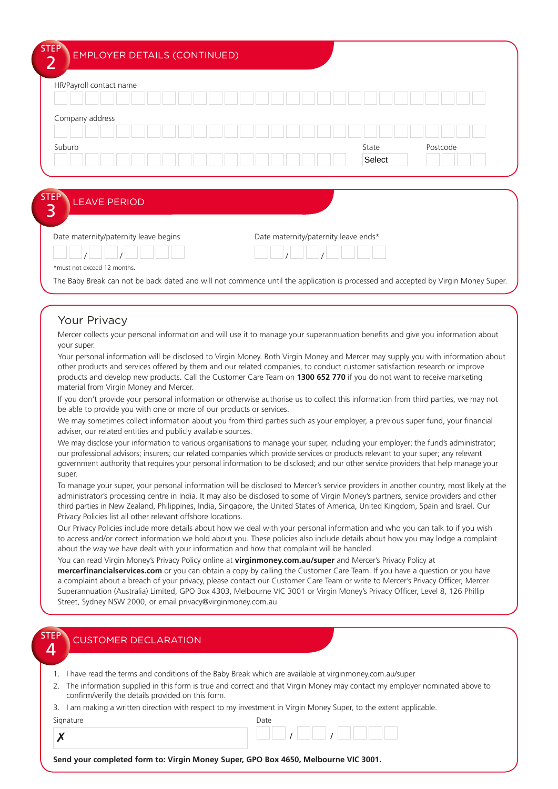|  | State  | Postcode |
|--|--------|----------|
|  | Select |          |
|  |        |          |

\*must not exceed 12 months.

The Baby Break can not be back dated and will not commence until the application is processed and accepted by Virgin Money Super.

#### Your Privacy

Mercer collects your personal information and will use it to manage your superannuation benefits and give you information about your super.

Your personal information will be disclosed to Virgin Money. Both Virgin Money and Mercer may supply you with information about other products and services offered by them and our related companies, to conduct customer satisfaction research or improve products and develop new products. Call the Customer Care Team on **1300 652 770** if you do not want to receive marketing material from Virgin Money and Mercer.

If you don't provide your personal information or otherwise authorise us to collect this information from third parties, we may not be able to provide you with one or more of our products or services.

We may sometimes collect information about you from third parties such as your employer, a previous super fund, your financial adviser, our related entities and publicly available sources.

We may disclose your information to various organisations to manage your super, including your employer; the fund's administrator; our professional advisors; insurers; our related companies which provide services or products relevant to your super; any relevant government authority that requires your personal information to be disclosed; and our other service providers that help manage your super.

To manage your super, your personal information will be disclosed to Mercer's service providers in another country, most likely at the administrator's processing centre in India. It may also be disclosed to some of Virgin Money's partners, service providers and other third parties in New Zealand, Philippines, India, Singapore, the United States of America, United Kingdom, Spain and Israel. Our Privacy Policies list all other relevant offshore locations.

Our Privacy Policies include more details about how we deal with your personal information and who you can talk to if you wish to access and/or correct information we hold about you. These policies also include details about how you may lodge a complaint about the way we have dealt with your information and how that complaint will be handled.

You can read Virgin Money's Privacy Policy online at **virginmoney.com.au/super** and Mercer's Privacy Policy at **mercerfinancialservices.com** or you can obtain a copy by calling the Customer Care Team. If you have a question or you have a complaint about a breach of your privacy, please contact our Customer Care Team or write to Mercer's Privacy Officer, Mercer Superannuation (Australia) Limited, GPO Box 4303, Melbourne VIC 3001 or Virgin Money's Privacy Officer, Level 8, 126 Phillip Street, Sydney NSW 2000, or email privacy@virginmoney.com.au

| <b>STEP</b><br>$\Delta$ | <b>CUSTOMER DECLARATION</b>                                                                                                                                                        |
|-------------------------|------------------------------------------------------------------------------------------------------------------------------------------------------------------------------------|
|                         |                                                                                                                                                                                    |
|                         | I have read the terms and conditions of the Baby Break which are available at virginmoney.com.au/super                                                                             |
|                         | 2. The information supplied in this form is true and correct and that Virgin Money may contact my employer nominated above to<br>confirm/verify the details provided on this form. |
| 3.                      | I am making a written direction with respect to my investment in Virgin Money Super, to the extent applicable.                                                                     |
|                         | Signature<br>Date                                                                                                                                                                  |

| ıyılululu       | DULL |
|-----------------|------|
| $\sqrt{ }$<br>◚ |      |

**Send your completed form to: Virgin Money Super, GPO Box 4650, Melbourne VIC 3001.**